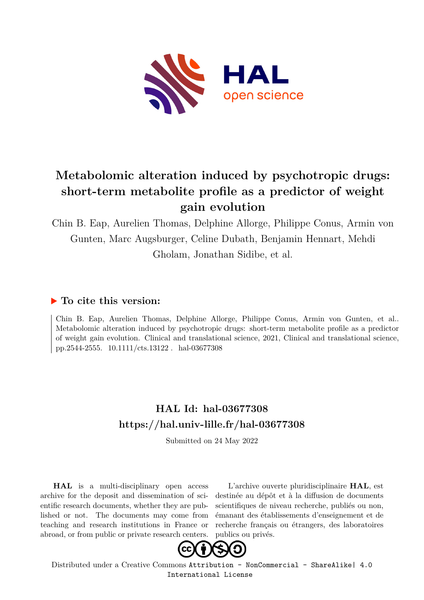

## **Metabolomic alteration induced by psychotropic drugs: short-term metabolite profile as a predictor of weight gain evolution**

Chin B. Eap, Aurelien Thomas, Delphine Allorge, Philippe Conus, Armin von Gunten, Marc Augsburger, Celine Dubath, Benjamin Hennart, Mehdi Gholam, Jonathan Sidibe, et al.

## **To cite this version:**

Chin B. Eap, Aurelien Thomas, Delphine Allorge, Philippe Conus, Armin von Gunten, et al.. Metabolomic alteration induced by psychotropic drugs: short-term metabolite profile as a predictor of weight gain evolution. Clinical and translational science, 2021, Clinical and translational science, pp.2544-2555. 10.1111/cts.13122 hal-03677308

## **HAL Id: hal-03677308 <https://hal.univ-lille.fr/hal-03677308>**

Submitted on 24 May 2022

**HAL** is a multi-disciplinary open access archive for the deposit and dissemination of scientific research documents, whether they are published or not. The documents may come from teaching and research institutions in France or abroad, or from public or private research centers.

L'archive ouverte pluridisciplinaire **HAL**, est destinée au dépôt et à la diffusion de documents scientifiques de niveau recherche, publiés ou non, émanant des établissements d'enseignement et de recherche français ou étrangers, des laboratoires publics ou privés.



Distributed under a Creative Commons [Attribution - NonCommercial - ShareAlike| 4.0](http://creativecommons.org/licenses/by-nc-sa/4.0/) [International License](http://creativecommons.org/licenses/by-nc-sa/4.0/)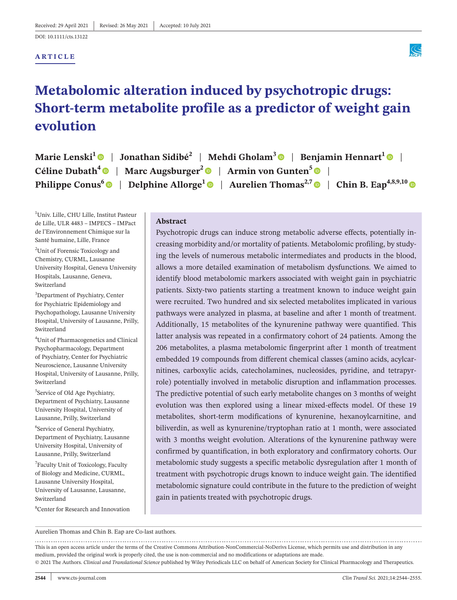DOI: [10.1111/cts.13122](https://doi.org/10.1111/cts.13122)

### **ARTICLE**



# **Metabolomic alteration induced by psychotropic drugs: Short-term metabolite profile as a predictor of weight gain evolution**

| Marie Lenski <sup>1</sup> $\bullet$   Jonathan Sidibé <sup>2</sup>   Mehdi Gholam <sup>3</sup> $\bullet$   Benjamin Hennart <sup>1</sup> $\bullet$ |
|----------------------------------------------------------------------------------------------------------------------------------------------------|
| Céline Dubath <sup>4</sup> $\bullet$   Marc Augsburger <sup>2</sup> $\bullet$   Armin von Gunten <sup>5</sup> $\bullet$                            |
| Philippe Conus <sup>6</sup>   Delphine Allorge <sup>1</sup>   Aurelien Thomas <sup>2,7</sup>   Chin B. Eap <sup>4,8,9,10</sup>                     |

1 Univ. Lille, CHU Lille, Institut Pasteur de Lille, ULR 4483 – IMPECS – IMPact de l'Environnement Chimique sur la Santé humaine, Lille, France

2 Unit of Forensic Toxicology and Chemistry, CURML, Lausanne University Hospital, Geneva University Hospitals, Lausanne, Geneva, Switzerland

3 Department of Psychiatry, Center for Psychiatric Epidemiology and Psychopathology, Lausanne University Hospital, University of Lausanne, Prilly, Switzerland

4 Unit of Pharmacogenetics and Clinical Psychopharmacology, Department of Psychiatry, Center for Psychiatric Neuroscience, Lausanne University Hospital, University of Lausanne, Prilly, Switzerland

5 Service of Old Age Psychiatry, Department of Psychiatry, Lausanne University Hospital, University of Lausanne, Prilly, Switzerland

6 Service of General Psychiatry, Department of Psychiatry, Lausanne University Hospital, University of Lausanne, Prilly, Switzerland

<sup>7</sup>Faculty Unit of Toxicology, Faculty of Biology and Medicine, CURML, Lausanne University Hospital, University of Lausanne, Lausanne, Switzerland

8 Center for Research and Innovation

#### **Abstract**

Psychotropic drugs can induce strong metabolic adverse effects, potentially increasing morbidity and/or mortality of patients. Metabolomic profiling, by studying the levels of numerous metabolic intermediates and products in the blood, allows a more detailed examination of metabolism dysfunctions. We aimed to identify blood metabolomic markers associated with weight gain in psychiatric patients. Sixty-two patients starting a treatment known to induce weight gain were recruited. Two hundred and six selected metabolites implicated in various pathways were analyzed in plasma, at baseline and after 1 month of treatment. Additionally, 15 metabolites of the kynurenine pathway were quantified. This latter analysis was repeated in a confirmatory cohort of 24 patients. Among the 206 metabolites, a plasma metabolomic fingerprint after 1 month of treatment embedded 19 compounds from different chemical classes (amino acids, acylcarnitines, carboxylic acids, catecholamines, nucleosides, pyridine, and tetrapyrrole) potentially involved in metabolic disruption and inflammation processes. The predictive potential of such early metabolite changes on 3 months of weight evolution was then explored using a linear mixed-effects model. Of these 19 metabolites, short-term modifications of kynurenine, hexanoylcarnitine, and biliverdin, as well as kynurenine/tryptophan ratio at 1 month, were associated with 3 months weight evolution. Alterations of the kynurenine pathway were confirmed by quantification, in both exploratory and confirmatory cohorts. Our metabolomic study suggests a specific metabolic dysregulation after 1 month of treatment with psychotropic drugs known to induce weight gain. The identified metabolomic signature could contribute in the future to the prediction of weight gain in patients treated with psychotropic drugs.

Aurelien Thomas and Chin B. Eap are Co-last authors.

This is an open access article under the terms of the Creative Commons [Attribution-NonCommercial-NoDerivs](http://creativecommons.org/licenses/by-nc-nd/4.0/) License, which permits use and distribution in any medium, provided the original work is properly cited, the use is non-commercial and no modifications or adaptations are made. © 2021 The Authors. *Clinical and Translational Science* published by Wiley Periodicals LLC on behalf of American Society for Clinical Pharmacology and Therapeutics.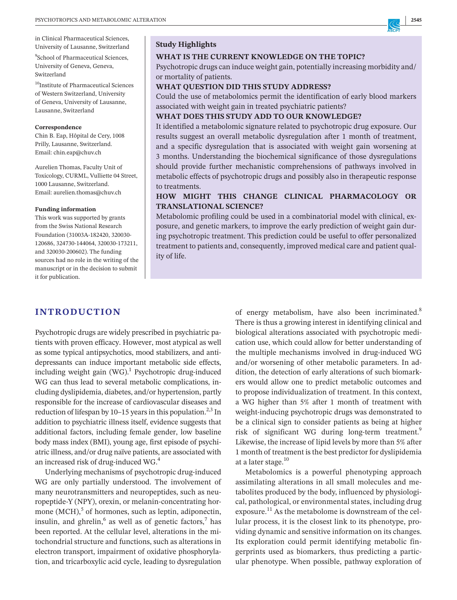in Clinical Pharmaceutical Sciences, University of Lausanne, Switzerland

<sup>9</sup>School of Pharmaceutical Sciences, University of Geneva, Geneva, Switzerland

 $^{10}$ Institute of Pharmaceutical Sciences of Western Switzerland, University of Geneva, University of Lausanne, Lausanne, Switzerland

#### **Correspondence**

Chin B. Eap, Hôpital de Cery, 1008 Prilly, Lausanne, Switzerland. Email: [chin.eap@chuv.ch](mailto:chin.eap@chuv.ch)

Aurelien Thomas, Faculty Unit of Toxicology, CURML, Vulliette 04 Street, 1000 Lausanne, Switzerland. Email: [aurelien.thomas@chuv.ch](mailto:aurelien.thomas@chuv.ch)

#### **Funding information**

This work was supported by grants from the Swiss National Research Foundation (31003A-182420, 320030- 120686, 324730-144064, 320030-173211, and 320030-200602). The funding sources had no role in the writing of the manuscript or in the decision to submit it for publication.

#### **Study Highlights**

#### **WHAT IS THE CURRENT KNOWLEDGE ON THE TOPIC?**

Psychotropic drugs can induce weight gain, potentially increasing morbidity and/ or mortality of patients.

#### **WHAT QUESTION DID THIS STUDY ADDRESS?**

Could the use of metabolomics permit the identification of early blood markers associated with weight gain in treated psychiatric patients?

#### **WHAT DOES THIS STUDY ADD TO OUR KNOWLEDGE?**

It identified a metabolomic signature related to psychotropic drug exposure. Our results suggest an overall metabolic dysregulation after 1 month of treatment, and a specific dysregulation that is associated with weight gain worsening at 3 months. Understanding the biochemical significance of those dysregulations should provide further mechanistic comprehensions of pathways involved in metabolic effects of psychotropic drugs and possibly also in therapeutic response to treatments.

### **HOW MIGHT THIS CHANGE CLINICAL PHARMACOLOGY OR TRANSLATIONAL SCIENCE?**

Metabolomic profiling could be used in a combinatorial model with clinical, exposure, and genetic markers, to improve the early prediction of weight gain during psychotropic treatment. This prediction could be useful to offer personalized treatment to patients and, consequently, improved medical care and patient quality of life.

#### **INTRODUCTION**

Psychotropic drugs are widely prescribed in psychiatric patients with proven efficacy. However, most atypical as well as some typical antipsychotics, mood stabilizers, and antidepressants can induce important metabolic side effects, including weight gain  $(WG)^{1}$  Psychotropic drug-induced WG can thus lead to several metabolic complications, including dyslipidemia, diabetes, and/or hypertension, partly responsible for the increase of cardiovascular diseases and reduction of lifespan by 10–15 years in this population.<sup>2,3</sup> In addition to psychiatric illness itself, evidence suggests that additional factors, including female gender, low baseline body mass index (BMI), young age, first episode of psychiatric illness, and/or drug naïve patients, are associated with an increased risk of drug-induced WG.4

Underlying mechanisms of psychotropic drug-induced WG are only partially understood. The involvement of many neurotransmitters and neuropeptides, such as neuropeptide-Y (NPY), orexin, or melanin-concentrating hormone  $(MCH)$ ,<sup>5</sup> of hormones, such as leptin, adiponectin, insulin, and ghrelin, $6$  as well as of genetic factors, $7$  has been reported. At the cellular level, alterations in the mitochondrial structure and functions, such as alterations in electron transport, impairment of oxidative phosphorylation, and tricarboxylic acid cycle, leading to dysregulation

of energy metabolism, have also been incriminated.<sup>8</sup> There is thus a growing interest in identifying clinical and biological alterations associated with psychotropic medication use, which could allow for better understanding of the multiple mechanisms involved in drug-induced WG and/or worsening of other metabolic parameters. In addition, the detection of early alterations of such biomarkers would allow one to predict metabolic outcomes and to propose individualization of treatment. In this context, a WG higher than 5% after 1 month of treatment with weight-inducing psychotropic drugs was demonstrated to be a clinical sign to consider patients as being at higher risk of significant WG during long-term treatment.<sup>9</sup> Likewise, the increase of lipid levels by more than 5% after 1 month of treatment is the best predictor for dyslipidemia at a later stage.<sup>10</sup>

Metabolomics is a powerful phenotyping approach assimilating alterations in all small molecules and metabolites produced by the body, influenced by physiological, pathological, or environmental states, including drug exposure.<sup>11</sup> As the metabolome is downstream of the cellular process, it is the closest link to its phenotype, providing dynamic and sensitive information on its changes. Its exploration could permit identifying metabolic fingerprints used as biomarkers, thus predicting a particular phenotype. When possible, pathway exploration of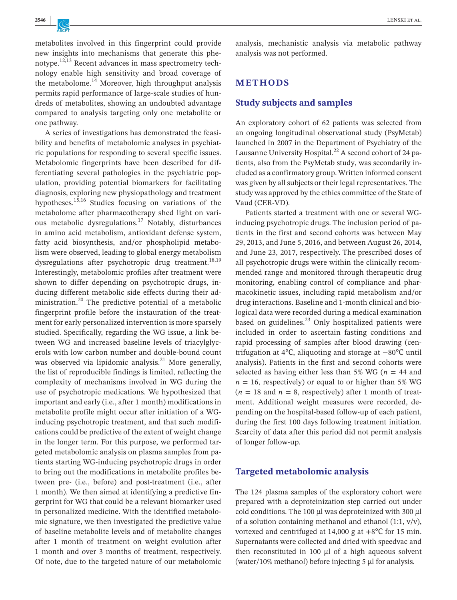metabolites involved in this fingerprint could provide new insights into mechanisms that generate this phenotype.12,13 Recent advances in mass spectrometry technology enable high sensitivity and broad coverage of the metabolome. $^{14}$  Moreover, high throughput analysis permits rapid performance of large-scale studies of hundreds of metabolites, showing an undoubted advantage compared to analysis targeting only one metabolite or one pathway.

A series of investigations has demonstrated the feasibility and benefits of metabolomic analyses in psychiatric populations for responding to several specific issues. Metabolomic fingerprints have been described for differentiating several pathologies in the psychiatric population, providing potential biomarkers for facilitating diagnosis, exploring new physiopathology and treatment hypotheses.<sup>15,16</sup> Studies focusing on variations of the metabolome after pharmacotherapy shed light on various metabolic dysregulations.<sup>17</sup> Notably, disturbances in amino acid metabolism, antioxidant defense system, fatty acid biosynthesis, and/or phospholipid metabolism were observed, leading to global energy metabolism dysregulations after psychotropic drug treatment.<sup>18,19</sup> Interestingly, metabolomic profiles after treatment were shown to differ depending on psychotropic drugs, inducing different metabolic side effects during their administration.<sup>20</sup> The predictive potential of a metabolic fingerprint profile before the instauration of the treatment for early personalized intervention is more sparsely studied. Specifically, regarding the WG issue, a link between WG and increased baseline levels of triacylglycerols with low carbon number and double-bound count was observed via lipidomic analysis. $^{21}$  More generally, the list of reproducible findings is limited, reflecting the complexity of mechanisms involved in WG during the use of psychotropic medications. We hypothesized that important and early (i.e., after 1 month) modifications in metabolite profile might occur after initiation of a WGinducing psychotropic treatment, and that such modifications could be predictive of the extent of weight change in the longer term. For this purpose, we performed targeted metabolomic analysis on plasma samples from patients starting WG-inducing psychotropic drugs in order to bring out the modifications in metabolite profiles between pre- (i.e., before) and post-treatment (i.e., after 1 month). We then aimed at identifying a predictive fingerprint for WG that could be a relevant biomarker used in personalized medicine. With the identified metabolomic signature, we then investigated the predictive value of baseline metabolite levels and of metabolite changes after 1 month of treatment on weight evolution after 1 month and over 3 months of treatment, respectively. Of note, due to the targeted nature of our metabolomic

analysis, mechanistic analysis via metabolic pathway analysis was not performed.

### **METHODS**

#### **Study subjects and samples**

An exploratory cohort of 62 patients was selected from an ongoing longitudinal observational study (PsyMetab) launched in 2007 in the Department of Psychiatry of the Lausanne University Hospital.<sup>22</sup> A second cohort of 24 patients, also from the PsyMetab study, was secondarily included as a confirmatory group. Written informed consent was given by all subjects or their legal representatives. The study was approved by the ethics committee of the State of Vaud (CER-VD).

Patients started a treatment with one or several WGinducing psychotropic drugs. The inclusion period of patients in the first and second cohorts was between May 29, 2013, and June 5, 2016, and between August 26, 2014, and June 23, 2017, respectively. The prescribed doses of all psychotropic drugs were within the clinically recommended range and monitored through therapeutic drug monitoring, enabling control of compliance and pharmacokinetic issues, including rapid metabolism and/or drug interactions. Baseline and 1-month clinical and biological data were recorded during a medical examination based on guidelines. $^{23}$  Only hospitalized patients were included in order to ascertain fasting conditions and rapid processing of samples after blood drawing (centrifugation at 4℃, aliquoting and storage at −80℃ until analysis). Patients in the first and second cohorts were selected as having either less than 5% WG ( $n = 44$  and  $n = 16$ , respectively) or equal to or higher than 5% WG  $(n = 18$  and  $n = 8$ , respectively) after 1 month of treatment. Additional weight measures were recorded, depending on the hospital-based follow-up of each patient, during the first 100 days following treatment initiation. Scarcity of data after this period did not permit analysis of longer follow-up.

#### **Targeted metabolomic analysis**

The 124 plasma samples of the exploratory cohort were prepared with a deproteinization step carried out under cold conditions. The 100  $\mu$ l was deproteinized with 300  $\mu$ l of a solution containing methanol and ethanol  $(1:1, v/v)$ , vortexed and centrifuged at 14,000 g at  $+8^{\circ}$ C for 15 min. Supernatants were collected and dried with speedvac and then reconstituted in 100  $\mu$ l of a high aqueous solvent (water/10% methanol) before injecting 5 µl for analysis.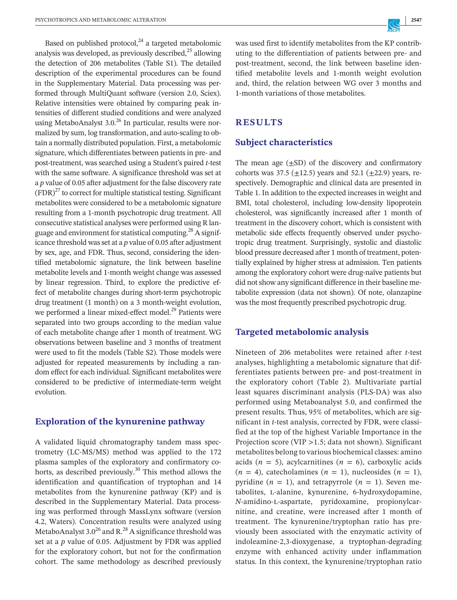Based on published protocol, $^{24}$  a targeted metabolomic analysis was developed, as previously described, $^{25}$  allowing the detection of 206 metabolites (Table S1). The detailed description of the experimental procedures can be found in the Supplementary Material. Data processing was performed through MultiQuant software (version 2.0, Sciex). Relative intensities were obtained by comparing peak intensities of different studied conditions and were analyzed using MetaboAnalyst  $3.0^{26}$  In particular, results were normalized by sum, log transformation, and auto-scaling to obtain a normally distributed population. First, a metabolomic signature, which differentiates between patients in pre- and post-treatment, was searched using a Student's paired *t*-test with the same software. A significance threshold was set at a *p* value of 0.05 after adjustment for the false discovery rate  $(FDR)^{27}$  to correct for multiple statistical testing. Significant metabolites were considered to be a metabolomic signature resulting from a 1-month psychotropic drug treatment. All consecutive statistical analyses were performed using R language and environment for statistical computing.<sup>28</sup> A significance threshold wasset at a *p* value of 0.05 after adjustment by sex, age, and FDR. Thus, second, considering the identified metabolomic signature, the link between baseline metabolite levels and 1-month weight change was assessed by linear regression. Third, to explore the predictive effect of metabolite changes during short-term psychotropic drug treatment (1 month) on a 3 month-weight evolution, we performed a linear mixed-effect model.<sup>29</sup> Patients were separated into two groups according to the median value of each metabolite change after 1 month of treatment. WG observations between baseline and 3 months of treatment were used to fit the models (Table S2). Those models were adjusted for repeated measurements by including a random effect for each individual. Significant metabolites were considered to be predictive of intermediate-term weight evolution.

#### **Exploration of the kynurenine pathway**

A validated liquid chromatography tandem mass spectrometry (LC-MS/MS) method was applied to the 172 plasma samples of the exploratory and confirmatory cohorts, as described previously.<sup>30</sup> This method allows the identification and quantification of tryptophan and 14 metabolites from the kynurenine pathway (KP) and is described in the Supplementary Material. Data processing was performed through MassLynx software (version 4.2, Waters). Concentration results were analyzed using MetaboAnalyst  $3.0^{26}$  and R.<sup>28</sup> A significance threshold was set at a *p* value of 0.05. Adjustment by FDR was applied for the exploratory cohort, but not for the confirmation cohort. The same methodology as described previously was used first to identify metabolites from the KP contributing to the differentiation of patients between pre- and post-treatment, second, the link between baseline identified metabolite levels and 1-month weight evolution and, third, the relation between WG over 3 months and 1-month variations of those metabolites.

#### **RESULTS**

### **Subject characteristics**

The mean age  $(\pm SD)$  of the discovery and confirmatory cohorts was 37.5 ( $\pm$ 12.5) years and 52.1 ( $\pm$ 22.9) years, respectively. Demographic and clinical data are presented in Table 1. In addition to the expected increases in weight and BMI, total cholesterol, including low-density lipoprotein cholesterol, was significantly increased after 1 month of treatment in the discovery cohort, which is consistent with metabolic side effects frequently observed under psychotropic drug treatment. Surprisingly, systolic and diastolic blood pressure decreased after 1 month of treatment, potentially explained by higher stress at admission. Ten patients among the exploratory cohort were drug-naïve patients but did notshow any significant difference in their baseline metabolite expression (data not shown). Of note, olanzapine was the most frequently prescribed psychotropic drug.

#### **Targeted metabolomic analysis**

Nineteen of 206 metabolites were retained after *t*-test analyses, highlighting a metabolomic signature that differentiates patients between pre- and post-treatment in the exploratory cohort (Table 2). Multivariate partial least squares discriminant analysis (PLS-DA) was also performed using Metaboanalyst 5.0, and confirmed the present results. Thus, 95% of metabolites, which are significant in *t*-test analysis, corrected by FDR, were classified at the top of the highest Variable Importance in the Projection score (VIP >1.5; data not shown). Significant metabolites belong to various biochemical classes: amino acids  $(n = 5)$ , acylcarnitines  $(n = 6)$ , carboxylic acids  $(n = 4)$ , catecholamines  $(n = 1)$ , nucleosides  $(n = 1)$ , pyridine  $(n = 1)$ , and tetrapyrrole  $(n = 1)$ . Seven metabolites, L-alanine, kynurenine, 6-hydroxydopamine, *N*-amidino-l-aspartate, pyridoxamine, propionylcarnitine, and creatine, were increased after 1 month of treatment. The kynurenine/tryptophan ratio has previously been associated with the enzymatic activity of indoleamine-2,3-dioxygenase, a tryptophan-degrading enzyme with enhanced activity under inflammation status. In this context, the kynurenine/tryptophan ratio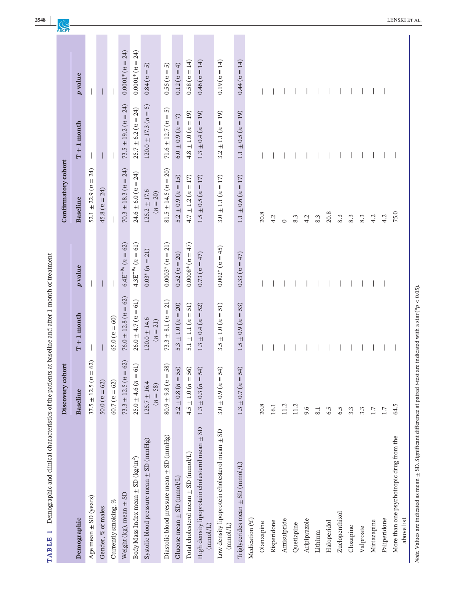| $26.0 \pm 4.7 (n)$<br>$(65.0 (n = 60))$<br>$120.0 \pm 14.6$<br>$(n = 21)$<br>3.5<br>1.5<br>$= 62$<br>$= 62$<br>61)<br>58)<br>55)<br>54)<br>56)<br>54)<br>54)<br>$25.0 \pm 4.6 (n =$<br>$80.9 \pm 9.8$ ( $n =$<br>$73.3 \pm 12.5 (n)$<br>$37.5 \pm 12.5 (n$<br>$5.2 \pm 0.8 (n =$<br>Ш<br>$4.5 \pm 1.0 (n =$<br>$\parallel$<br>$\parallel$<br>$60.7 (n = 62)$<br>$50.0 (n = 62)$<br>$125.7 \pm 16.4$<br>$1.3 \pm 0.3 (n)$<br>$1.3\pm0.7\,(n$<br>$3.0 \pm 0.9 (n)$<br>$(n = 58)$<br><b>Baseline</b><br>20.8<br>11.2<br>16.1<br>11.2<br>9.6<br>$\pm$ SD<br>Low density lipoprotein cholesterol mean ± SD<br>Diastolic blood pressure mean ± SD (mmHg)<br>Systolic blood pressure mean ± SD (mmHg)<br>High density lipoprotein cholesterol mean<br>Total cholesterol mean ± SD (mmol/L)<br>Body Mass Index mean $\pm$ SD (kg/m <sup>2</sup> )<br>Triglycerides mean $\pm$ SD (mmol/L)<br>Glucose mean $\pm$ SD (mmol/L)<br>Weight $(kg)$ , mean $\pm$ SD<br>Age mean $\pm$ SD (years)<br>Currently smoking, $\%$<br>Gender, % of males<br>Demographic<br>Medication (%)<br>Aripiprazole<br>Amisulpride<br>Risperidone<br>Olanzapine<br>Quetiapine<br>(mmol/L)<br>$(\text{mmol/L})$ | $76.0 \pm 12.8 (n = 62)$<br>$73.3 \pm 8.1 (n = 21)$<br>$= 61$<br>$51)$<br>$5.3 \pm 1.0 (n = 20)$<br>51)<br>52)<br>$5.1 \pm 1.1 (n =$<br>$\pm$ 1.0 ( $n =$<br>$1.3 \pm 0.4 (n =$<br>$T + 1$ month | $0.0003*(n=21)$<br>$0.0008*(n=47)$<br>$4.3E^{-9*} (n = 61)$<br>$6.4E^{-9*}$ $(n = 62)$<br>$0.002*(n=45)$<br>$0.03*(n = 21)$<br>$0.52 (n = 20)$<br>$0.73(n = 47)$<br>p value<br>$\mathsf{l}$ | $70.3 \pm 18.3 (n = 24)$<br>$81.5 \pm 14.5 (n = 20)$<br>24)<br>$24.6 \pm 6.0 (n = 24)$<br>$4.7 \pm 1.2 (n = 17)$<br>$1.5 \pm 0.5 (n = 17)$<br>$= 17$<br>$5.2 \pm 0.9 (n = 15)$<br>52.1 $\pm$ 22.9 ( <i>n</i> =<br>$45.8 (n = 24)$<br>$125.2 \pm 17.6$<br>$(n = 20)$<br>$3.0 \pm 1.1 (n$<br><b>Baseline</b> | $73.5 \pm 19.2 (n = 24)$<br>$\widehat{5}$<br>$25.7 \pm 6.2 (n = 24)$<br>$120.0 \pm 17.3 (n =$<br>$T + 1$ month | $0.0001*(n=24)$<br>24)<br>$0.58 (n = 14)$<br>$0.0001*(n =$<br>$0.12(n = 4)$<br>5<br>$\widehat{5}$<br>$0.84(n =$<br>$0.55 (n =$<br>p value |
|--------------------------------------------------------------------------------------------------------------------------------------------------------------------------------------------------------------------------------------------------------------------------------------------------------------------------------------------------------------------------------------------------------------------------------------------------------------------------------------------------------------------------------------------------------------------------------------------------------------------------------------------------------------------------------------------------------------------------------------------------------------------------------------------------------------------------------------------------------------------------------------------------------------------------------------------------------------------------------------------------------------------------------------------------------------------------------------------------------------------------------------------------------------------------------|--------------------------------------------------------------------------------------------------------------------------------------------------------------------------------------------------|---------------------------------------------------------------------------------------------------------------------------------------------------------------------------------------------|------------------------------------------------------------------------------------------------------------------------------------------------------------------------------------------------------------------------------------------------------------------------------------------------------------|----------------------------------------------------------------------------------------------------------------|-------------------------------------------------------------------------------------------------------------------------------------------|
|                                                                                                                                                                                                                                                                                                                                                                                                                                                                                                                                                                                                                                                                                                                                                                                                                                                                                                                                                                                                                                                                                                                                                                                |                                                                                                                                                                                                  |                                                                                                                                                                                             |                                                                                                                                                                                                                                                                                                            |                                                                                                                |                                                                                                                                           |
|                                                                                                                                                                                                                                                                                                                                                                                                                                                                                                                                                                                                                                                                                                                                                                                                                                                                                                                                                                                                                                                                                                                                                                                |                                                                                                                                                                                                  |                                                                                                                                                                                             |                                                                                                                                                                                                                                                                                                            |                                                                                                                |                                                                                                                                           |
|                                                                                                                                                                                                                                                                                                                                                                                                                                                                                                                                                                                                                                                                                                                                                                                                                                                                                                                                                                                                                                                                                                                                                                                |                                                                                                                                                                                                  |                                                                                                                                                                                             |                                                                                                                                                                                                                                                                                                            |                                                                                                                |                                                                                                                                           |
|                                                                                                                                                                                                                                                                                                                                                                                                                                                                                                                                                                                                                                                                                                                                                                                                                                                                                                                                                                                                                                                                                                                                                                                |                                                                                                                                                                                                  |                                                                                                                                                                                             |                                                                                                                                                                                                                                                                                                            |                                                                                                                |                                                                                                                                           |
|                                                                                                                                                                                                                                                                                                                                                                                                                                                                                                                                                                                                                                                                                                                                                                                                                                                                                                                                                                                                                                                                                                                                                                                |                                                                                                                                                                                                  |                                                                                                                                                                                             |                                                                                                                                                                                                                                                                                                            |                                                                                                                |                                                                                                                                           |
|                                                                                                                                                                                                                                                                                                                                                                                                                                                                                                                                                                                                                                                                                                                                                                                                                                                                                                                                                                                                                                                                                                                                                                                |                                                                                                                                                                                                  |                                                                                                                                                                                             |                                                                                                                                                                                                                                                                                                            |                                                                                                                |                                                                                                                                           |
|                                                                                                                                                                                                                                                                                                                                                                                                                                                                                                                                                                                                                                                                                                                                                                                                                                                                                                                                                                                                                                                                                                                                                                                |                                                                                                                                                                                                  |                                                                                                                                                                                             |                                                                                                                                                                                                                                                                                                            |                                                                                                                |                                                                                                                                           |
|                                                                                                                                                                                                                                                                                                                                                                                                                                                                                                                                                                                                                                                                                                                                                                                                                                                                                                                                                                                                                                                                                                                                                                                |                                                                                                                                                                                                  |                                                                                                                                                                                             |                                                                                                                                                                                                                                                                                                            | 5<br>$71.6 \pm 12.7 (n =$                                                                                      |                                                                                                                                           |
|                                                                                                                                                                                                                                                                                                                                                                                                                                                                                                                                                                                                                                                                                                                                                                                                                                                                                                                                                                                                                                                                                                                                                                                |                                                                                                                                                                                                  |                                                                                                                                                                                             |                                                                                                                                                                                                                                                                                                            | $(2.50 \pm 0.9)$ ( $n = 7$ )                                                                                   |                                                                                                                                           |
|                                                                                                                                                                                                                                                                                                                                                                                                                                                                                                                                                                                                                                                                                                                                                                                                                                                                                                                                                                                                                                                                                                                                                                                |                                                                                                                                                                                                  |                                                                                                                                                                                             |                                                                                                                                                                                                                                                                                                            | $4.8 \pm 1.0 (n = 19)$                                                                                         |                                                                                                                                           |
|                                                                                                                                                                                                                                                                                                                                                                                                                                                                                                                                                                                                                                                                                                                                                                                                                                                                                                                                                                                                                                                                                                                                                                                |                                                                                                                                                                                                  |                                                                                                                                                                                             |                                                                                                                                                                                                                                                                                                            | $1.3 \pm 0.4 (n = 19)$                                                                                         | $0.46 (n = 14)$                                                                                                                           |
|                                                                                                                                                                                                                                                                                                                                                                                                                                                                                                                                                                                                                                                                                                                                                                                                                                                                                                                                                                                                                                                                                                                                                                                |                                                                                                                                                                                                  |                                                                                                                                                                                             |                                                                                                                                                                                                                                                                                                            | $= 19$<br>$\pm$ 1.1 ( $n$<br>3.2                                                                               | $0.19(n = 14)$                                                                                                                            |
|                                                                                                                                                                                                                                                                                                                                                                                                                                                                                                                                                                                                                                                                                                                                                                                                                                                                                                                                                                                                                                                                                                                                                                                | 53)<br>$\pm$ 0.9 (n =                                                                                                                                                                            | $0.33 (n = 47)$                                                                                                                                                                             | $\pm 0.6 (n = 17)$<br>1.1                                                                                                                                                                                                                                                                                  | $\pm 0.5 (n = 19)$<br>1.1                                                                                      | $0.44 (n = 14)$                                                                                                                           |
|                                                                                                                                                                                                                                                                                                                                                                                                                                                                                                                                                                                                                                                                                                                                                                                                                                                                                                                                                                                                                                                                                                                                                                                |                                                                                                                                                                                                  |                                                                                                                                                                                             |                                                                                                                                                                                                                                                                                                            |                                                                                                                |                                                                                                                                           |
|                                                                                                                                                                                                                                                                                                                                                                                                                                                                                                                                                                                                                                                                                                                                                                                                                                                                                                                                                                                                                                                                                                                                                                                |                                                                                                                                                                                                  |                                                                                                                                                                                             | 20.8                                                                                                                                                                                                                                                                                                       |                                                                                                                |                                                                                                                                           |
|                                                                                                                                                                                                                                                                                                                                                                                                                                                                                                                                                                                                                                                                                                                                                                                                                                                                                                                                                                                                                                                                                                                                                                                |                                                                                                                                                                                                  |                                                                                                                                                                                             | 4.2                                                                                                                                                                                                                                                                                                        |                                                                                                                |                                                                                                                                           |
|                                                                                                                                                                                                                                                                                                                                                                                                                                                                                                                                                                                                                                                                                                                                                                                                                                                                                                                                                                                                                                                                                                                                                                                |                                                                                                                                                                                                  |                                                                                                                                                                                             | $\circ$                                                                                                                                                                                                                                                                                                    |                                                                                                                |                                                                                                                                           |
|                                                                                                                                                                                                                                                                                                                                                                                                                                                                                                                                                                                                                                                                                                                                                                                                                                                                                                                                                                                                                                                                                                                                                                                |                                                                                                                                                                                                  |                                                                                                                                                                                             | 8.3                                                                                                                                                                                                                                                                                                        |                                                                                                                |                                                                                                                                           |
|                                                                                                                                                                                                                                                                                                                                                                                                                                                                                                                                                                                                                                                                                                                                                                                                                                                                                                                                                                                                                                                                                                                                                                                |                                                                                                                                                                                                  |                                                                                                                                                                                             | 4.2                                                                                                                                                                                                                                                                                                        |                                                                                                                |                                                                                                                                           |
| Lithium                                                                                                                                                                                                                                                                                                                                                                                                                                                                                                                                                                                                                                                                                                                                                                                                                                                                                                                                                                                                                                                                                                                                                                        | 8.1                                                                                                                                                                                              |                                                                                                                                                                                             | 8.3                                                                                                                                                                                                                                                                                                        |                                                                                                                |                                                                                                                                           |
| 6.5<br>Haloperidol                                                                                                                                                                                                                                                                                                                                                                                                                                                                                                                                                                                                                                                                                                                                                                                                                                                                                                                                                                                                                                                                                                                                                             |                                                                                                                                                                                                  |                                                                                                                                                                                             | $20.8$                                                                                                                                                                                                                                                                                                     |                                                                                                                |                                                                                                                                           |
| 6.5<br>Zuclopenthixol                                                                                                                                                                                                                                                                                                                                                                                                                                                                                                                                                                                                                                                                                                                                                                                                                                                                                                                                                                                                                                                                                                                                                          |                                                                                                                                                                                                  |                                                                                                                                                                                             | 8.3                                                                                                                                                                                                                                                                                                        |                                                                                                                |                                                                                                                                           |
| 3.3<br>Clozapine                                                                                                                                                                                                                                                                                                                                                                                                                                                                                                                                                                                                                                                                                                                                                                                                                                                                                                                                                                                                                                                                                                                                                               |                                                                                                                                                                                                  |                                                                                                                                                                                             | 8.3                                                                                                                                                                                                                                                                                                        |                                                                                                                |                                                                                                                                           |
| 3.3<br>Valproate                                                                                                                                                                                                                                                                                                                                                                                                                                                                                                                                                                                                                                                                                                                                                                                                                                                                                                                                                                                                                                                                                                                                                               |                                                                                                                                                                                                  |                                                                                                                                                                                             | 8.3                                                                                                                                                                                                                                                                                                        |                                                                                                                |                                                                                                                                           |
| 1.7<br>Mirtazapine                                                                                                                                                                                                                                                                                                                                                                                                                                                                                                                                                                                                                                                                                                                                                                                                                                                                                                                                                                                                                                                                                                                                                             |                                                                                                                                                                                                  |                                                                                                                                                                                             | 4.2                                                                                                                                                                                                                                                                                                        |                                                                                                                |                                                                                                                                           |
| 1.7<br>Paliperidone                                                                                                                                                                                                                                                                                                                                                                                                                                                                                                                                                                                                                                                                                                                                                                                                                                                                                                                                                                                                                                                                                                                                                            |                                                                                                                                                                                                  |                                                                                                                                                                                             | 4.2                                                                                                                                                                                                                                                                                                        |                                                                                                                |                                                                                                                                           |
| 64.5<br>More than one psychotropic drug from the<br>above list                                                                                                                                                                                                                                                                                                                                                                                                                                                                                                                                                                                                                                                                                                                                                                                                                                                                                                                                                                                                                                                                                                                 |                                                                                                                                                                                                  |                                                                                                                                                                                             | 75.0                                                                                                                                                                                                                                                                                                       |                                                                                                                |                                                                                                                                           |

**2548**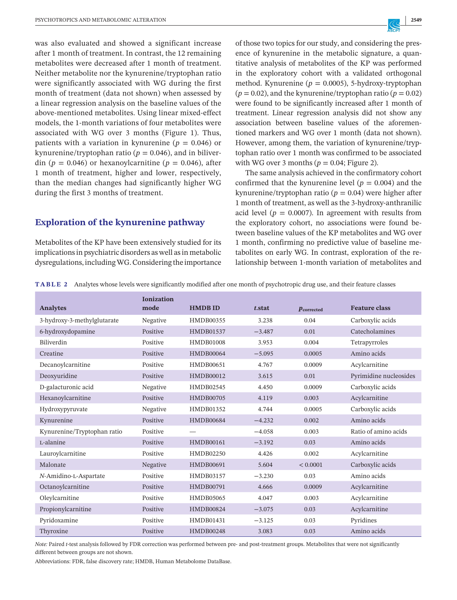was also evaluated and showed a significant increase after 1 month of treatment. In contrast, the 12 remaining metabolites were decreased after 1 month of treatment. Neither metabolite nor the kynurenine/tryptophan ratio were significantly associated with WG during the first month of treatment (data not shown) when assessed by a linear regression analysis on the baseline values of the above-mentioned metabolites. Using linear mixed-effect models, the 1-month variations of four metabolites were associated with WG over 3 months (Figure 1). Thus, patients with a variation in kynurenine ( $p = 0.046$ ) or kynurenine/tryptophan ratio ( $p = 0.046$ ), and in biliverdin ( $p = 0.046$ ) or hexanoylcarnitine ( $p = 0.046$ ), after 1 month of treatment, higher and lower, respectively, than the median changes had significantly higher WG during the first 3 months of treatment.

#### **Exploration of the kynurenine pathway**

Metabolites of the KP have been extensively studied for its implications in psychiatric disorders as well as in metabolic dysregulations,includingWG.Considering the importance of those two topics for our study, and considering the presence of kynurenine in the metabolic signature, a quantitative analysis of metabolites of the KP was performed in the exploratory cohort with a validated orthogonal method. Kynurenine ( $p = 0.0005$ ), 5-hydroxy-tryptophan  $(p = 0.02)$ , and the kynurenine/tryptophan ratio  $(p = 0.02)$ were found to be significantly increased after 1 month of treatment. Linear regression analysis did not show any association between baseline values of the aforementioned markers and WG over 1 month (data not shown). However, among them, the variation of kynurenine/tryptophan ratio over 1 month was confirmed to be associated with WG over 3 months ( $p = 0.04$ ; Figure 2).

The same analysis achieved in the confirmatory cohort confirmed that the kynurenine level ( $p = 0.004$ ) and the kynurenine/tryptophan ratio ( $p = 0.04$ ) were higher after 1 month of treatment, as well as the 3-hydroxy-anthranilic acid level ( $p = 0.0007$ ). In agreement with results from the exploratory cohort, no associations were found between baseline values of the KP metabolites and WG over 1 month, confirming no predictive value of baseline metabolites on early WG. In contrast, exploration of the relationship between 1-month variation of metabolites and

|  |  |  | <b>TABLE 2</b> Analytes whose levels were significantly modified after one month of psychotropic drug use, and their feature classes |  |
|--|--|--|--------------------------------------------------------------------------------------------------------------------------------------|--|
|--|--|--|--------------------------------------------------------------------------------------------------------------------------------------|--|

| <b>Analytes</b>             | <b>Ionization</b><br>mode | <b>HMDBID</b>    | t.stat   | $\boldsymbol{p}_{\text{corrected}}$ | <b>Feature class</b>   |
|-----------------------------|---------------------------|------------------|----------|-------------------------------------|------------------------|
| 3-hydroxy-3-methylglutarate | Negative                  | HMDB00355        | 3.238    | 0.04                                | Carboxylic acids       |
| 6-hydroxydopamine           | Positive                  | HMDB01537        | $-3.487$ | 0.01                                | Catecholamines         |
| Biliverdin                  | Positive                  | <b>HMDB01008</b> | 3.953    | 0.004                               | Tetrapyrroles          |
| Creatine                    | Positive                  | <b>HMDB00064</b> | $-5.095$ | 0.0005                              | Amino acids            |
| Decanoylcarnitine           | Positive                  | <b>HMDB00651</b> | 4.767    | 0.0009                              | Acylcarnitine          |
| Deoxyuridine                | Positive                  | HMDB00012        | 3.615    | 0.01                                | Pyrimidine nucleosides |
| D-galacturonic acid         | Negative                  | HMDB02545        | 4.450    | 0.0009                              | Carboxylic acids       |
| Hexanoylcarnitine           | Positive                  | <b>HMDB00705</b> | 4.119    | 0.003                               | Acylcarnitine          |
| Hydroxypyruvate             | Negative                  | HMDB01352        | 4.744    | 0.0005                              | Carboxylic acids       |
| Kynurenine                  | Positive                  | <b>HMDB00684</b> | $-4.232$ | 0.002                               | Amino acids            |
| Kynurenine/Tryptophan ratio | Positive                  |                  | $-4.058$ | 0.003                               | Ratio of amino acids   |
| L-alanine                   | Positive                  | <b>HMDB00161</b> | $-3.192$ | 0.03                                | Amino acids            |
| Lauroylcarnitine            | Positive                  | HMDB02250        | 4.426    | 0.002                               | Acylcarnitine          |
| Malonate                    | Negative                  | <b>HMDB00691</b> | 5.604    | < 0.0001                            | Carboxylic acids       |
| N-Amidino-L-Aspartate       | Positive                  | HMDB03157        | $-3.230$ | 0.03                                | Amino acids            |
| Octanoylcarnitine           | Positive                  | <b>HMDB00791</b> | 4.666    | 0.0009                              | Acylcarnitine          |
| Oleylcarnitine              | Positive                  | HMDB05065        | 4.047    | 0.003                               | Acylcarnitine          |
| Propionylcarnitine          | Positive                  | <b>HMDB00824</b> | $-3.075$ | 0.03                                | Acylcarnitine          |
| Pyridoxamine                | Positive                  | HMDB01431        | $-3.125$ | 0.03                                | Pyridines              |
| Thyroxine                   | Positive                  | <b>HMDB00248</b> | 3.083    | 0.03                                | Amino acids            |

*Note:* Paired *t*-test analysis followed by FDR correction was performed between pre- and post-treatment groups. Metabolites that were not significantly different between groups are not shown.

Abbreviations: FDR, false discovery rate; HMDB, Human Metabolome DataBase.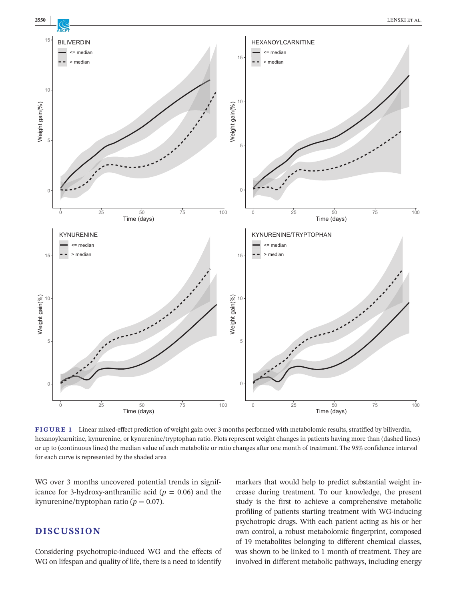

**FIGURE 1** Linear mixed-effect prediction of weight gain over 3 months performed with metabolomic results, stratified by biliverdin, hexanoylcarnitine, kynurenine, or kynurenine/tryptophan ratio. Plots represent weight changes in patients having more than (dashed lines) or up to (continuous lines) the median value of each metabolite or ratio changes after one month of treatment. The 95% confidence interval for each curve is represented by the shaded area

WG over 3 months uncovered potential trends in significance for 3-hydroxy-anthranilic acid ( $p = 0.06$ ) and the kynurenine/tryptophan ratio ( $p = 0.07$ ).

## **DISCUSSION**

Considering psychotropic-induced WG and the effects of WG on lifespan and quality of life, there is a need to identify markers that would help to predict substantial weight increase during treatment. To our knowledge, the present study is the first to achieve a comprehensive metabolic profiling of patients starting treatment with WG-inducing psychotropic drugs. With each patient acting as his or her own control, a robust metabolomic fingerprint, composed of 19 metabolites belonging to different chemical classes, was shown to be linked to 1 month of treatment. They are involved in different metabolic pathways, including energy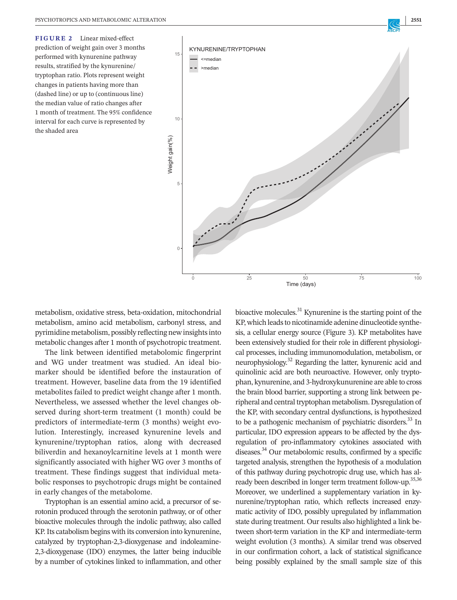

metabolism, oxidative stress, beta-oxidation, mitochondrial metabolism, amino acid metabolism, carbonyl stress, and pyrimidine metabolism, possibly reflecting newinsightsinto metabolic changes after 1 month of psychotropic treatment.

The link between identified metabolomic fingerprint and WG under treatment was studied. An ideal biomarker should be identified before the instauration of treatment. However, baseline data from the 19 identified metabolites failed to predict weight change after 1 month. Nevertheless, we assessed whether the level changes observed during short-term treatment (1 month) could be predictors of intermediate-term (3 months) weight evolution. Interestingly, increased kynurenine levels and kynurenine/tryptophan ratios, along with decreased biliverdin and hexanoylcarnitine levels at 1 month were significantly associated with higher WG over 3 months of treatment. These findings suggest that individual metabolic responses to psychotropic drugs might be contained in early changes of the metabolome.

Tryptophan is an essential amino acid, a precursor of serotonin produced through the serotonin pathway, or of other bioactive molecules through the indolic pathway, also called KP.Its catabolism begins with its conversion into kynurenine, catalyzed by tryptophan-2,3-dioxygenase and indoleamine-2,3-dioxygenase (IDO) enzymes, the latter being inducible by a number of cytokines linked to inflammation, and other bioactive molecules.<sup>31</sup> Kynurenine is the starting point of the KP, which leads to nicotinamide adenine dinucleotide synthesis, a cellular energy source (Figure 3). KP metabolites have been extensively studied for their role in different physiological processes, including immunomodulation, metabolism, or neurophysiology.32 Regarding the latter, kynurenic acid and quinolinic acid are both neuroactive. However, only tryptophan, kynurenine, and 3-hydroxykunurenine are able to cross the brain blood barrier, supporting a strong link between peripheral and central tryptophan metabolism. Dysregulation of the KP, with secondary central dysfunctions, is hypothesized to be a pathogenic mechanism of psychiatric disorders.<sup>33</sup> In particular, IDO expression appears to be affected by the dysregulation of pro-inflammatory cytokines associated with diseases.<sup>34</sup> Our metabolomic results, confirmed by a specific targeted analysis, strengthen the hypothesis of a modulation of this pathway during psychotropic drug use, which has already been described in longer term treatment follow-up.<sup>35,36</sup> Moreover, we underlined a supplementary variation in kynurenine/tryptophan ratio, which reflects increased enzymatic activity of IDO, possibly upregulated by inflammation state during treatment. Our results also highlighted a link between short-term variation in the KP and intermediate-term weight evolution (3 months). A similar trend was observed in our confirmation cohort, a lack of statistical significance being possibly explained by the small sample size of this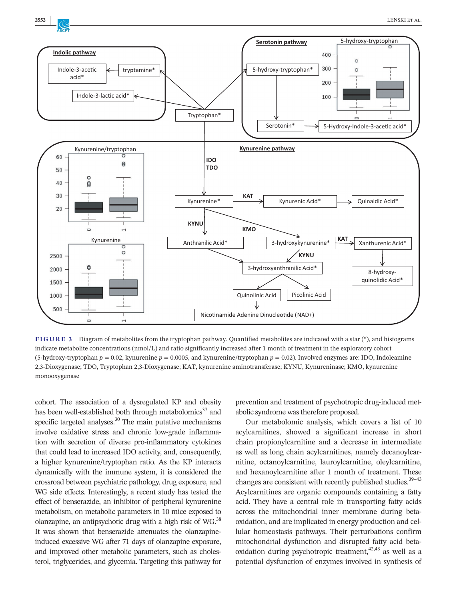



**FIGURE 3** Diagram of metabolites from the tryptophan pathway. Quantified metabolites are indicated with a star (\*), and histograms indicate metabolite concentrations (nmol/L) and ratio significantly increased after 1 month of treatment in the exploratory cohort (5-hydroxy-tryptophan  $p = 0.02$ , kynurenine  $p = 0.0005$ , and kynurenine/tryptophan  $p = 0.02$ ). Involved enzymes are: IDO, Indoleamine 2,3-Dioxygenase; TDO, Tryptophan 2,3-Dioxygenase; KAT, kynurenine aminotransferase; KYNU, Kynureninase; KMO, kynurenine monooxygenase

cohort. The association of a dysregulated KP and obesity has been well-established both through metabolomics $37$  and specific targeted analyses.<sup>30</sup> The main putative mechanisms involve oxidative stress and chronic low-grade inflammation with secretion of diverse pro-inflammatory cytokines that could lead to increased IDO activity, and, consequently, a higher kynurenine/tryptophan ratio. As the KP interacts dynamically with the immune system, it is considered the crossroad between psychiatric pathology, drug exposure, and WG side effects. Interestingly, a recent study has tested the effect of benserazide, an inhibitor of peripheral kynurenine metabolism, on metabolic parameters in 10 mice exposed to olanzapine, an antipsychotic drug with a high risk of WG. $^{38}$ It was shown that benserazide attenuates the olanzapineinduced excessive WG after 71 days of olanzapine exposure, and improved other metabolic parameters, such as cholesterol, triglycerides, and glycemia. Targeting this pathway for

prevention and treatment of psychotropic drug-induced metabolic syndrome was therefore proposed.

Our metabolomic analysis, which covers a list of 10 acylcarnitines, showed a significant increase in short chain propionylcarnitine and a decrease in intermediate as well as long chain acylcarnitines, namely decanoylcarnitine, octanoylcarnitine, lauroylcarnitine, oleylcarnitine, and hexanoylcarnitine after 1 month of treatment. These changes are consistent with recently published studies. $39-43$ Acylcarnitines are organic compounds containing a fatty acid. They have a central role in transporting fatty acids across the mitochondrial inner membrane during betaoxidation, and are implicated in energy production and cellular homeostasis pathways. Their perturbations confirm mitochondrial dysfunction and disrupted fatty acid betaoxidation during psychotropic treatment,  $42,43$  as well as a potential dysfunction of enzymes involved in synthesis of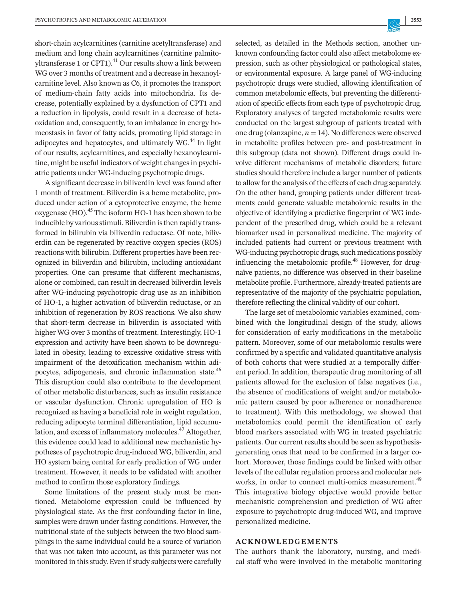short-chain acylcarnitines (carnitine acetyltransferase) and medium and long chain acylcarnitines (carnitine palmitoyltransferase 1 or CPT1).<sup>41</sup> Our results show a link between WG over 3 months of treatment and a decrease in hexanoylcarnitine level. Also known as C6, it promotes the transport of medium-chain fatty acids into mitochondria. Its decrease, potentially explained by a dysfunction of CPT1 and a reduction in lipolysis, could result in a decrease of betaoxidation and, consequently, to an imbalance in energy homeostasis in favor of fatty acids, promoting lipid storage in adipocytes and hepatocytes, and ultimately WG.<sup>44</sup> In light of our results, acylcarnitines, and especially hexanoylcarnitine, might be useful indicators of weight changes in psychiatric patients under WG-inducing psychotropic drugs.

A significant decrease in biliverdin level was found after 1 month of treatment. Biliverdin is a heme metabolite, produced under action of a cytoprotective enzyme, the heme oxygenase  $(HO)$ .<sup>45</sup> The isoform HO-1 has been shown to be inducible by various stimuli. Biliverdin is then rapidly transformed in bilirubin via biliverdin reductase. Of note, biliverdin can be regenerated by reactive oxygen species (ROS) reactions with bilirubin. Different properties have been recognized in biliverdin and bilirubin, including antioxidant properties. One can presume that different mechanisms, alone or combined, can result in decreased biliverdin levels after WG-inducing psychotropic drug use as an inhibition of HO-1, a higher activation of biliverdin reductase, or an inhibition of regeneration by ROS reactions. We also show that short-term decrease in biliverdin is associated with higher WG over 3 months of treatment. Interestingly, HO-1 expression and activity have been shown to be downregulated in obesity, leading to excessive oxidative stress with impairment of the detoxification mechanism within adipocytes, adipogenesis, and chronic inflammation state.<sup>46</sup> This disruption could also contribute to the development of other metabolic disturbances, such as insulin resistance or vascular dysfunction. Chronic upregulation of HO is recognized as having a beneficial role in weight regulation, reducing adipocyte terminal differentiation, lipid accumulation, and excess of inflammatory molecules.<sup>47</sup> Altogether, this evidence could lead to additional new mechanistic hypotheses of psychotropic drug-induced WG, biliverdin, and HO system being central for early prediction of WG under treatment. However, it needs to be validated with another method to confirm those exploratory findings.

Some limitations of the present study must be mentioned. Metabolome expression could be influenced by physiological state. As the first confounding factor in line, samples were drawn under fasting conditions. However, the nutritional state of the subjects between the two blood samplings in the same individual could be a source of variation that was not taken into account, as this parameter was not monitored in thisstudy. Even if study subjects were carefully selected, as detailed in the Methods section, another unknown confounding factor could also affect metabolome expression, such as other physiological or pathological states, or environmental exposure. A large panel of WG-inducing psychotropic drugs were studied, allowing identification of common metabolomic effects, but preventing the differentiation of specific effects from each type of psychotropic drug. Exploratory analyses of targeted metabolomic results were conducted on the largest subgroup of patients treated with one drug (olanzapine,  $n = 14$ ). No differences were observed in metabolite profiles between pre- and post-treatment in this subgroup (data not shown). Different drugs could involve different mechanisms of metabolic disorders; future studies should therefore include a larger number of patients to allow forthe analysis of the effects of each drug separately. On the other hand, grouping patients under different treatments could generate valuable metabolomic results in the objective of identifying a predictive fingerprint of WG independent of the prescribed drug, which could be a relevant biomarker used in personalized medicine. The majority of included patients had current or previous treatment with WG-inducing psychotropic drugs, such medications possibly influencing the metabolomic profile.<sup>48</sup> However, for drugnaïve patients, no difference was observed in their baseline metabolite profile. Furthermore, already-treated patients are representative of the majority of the psychiatric population, therefore reflecting the clinical validity of our cohort.

The large set of metabolomic variables examined, combined with the longitudinal design of the study, allows for consideration of early modifications in the metabolic pattern. Moreover, some of our metabolomic results were confirmed by a specific and validated quantitative analysis of both cohorts that were studied at a temporally different period. In addition, therapeutic drug monitoring of all patients allowed for the exclusion of false negatives (i.e., the absence of modifications of weight and/or metabolomic pattern caused by poor adherence or nonadherence to treatment). With this methodology, we showed that metabolomics could permit the identification of early blood markers associated with WG in treated psychiatric patients. Our current results should be seen as hypothesisgenerating ones that need to be confirmed in a larger cohort. Moreover, those findings could be linked with other levels of the cellular regulation process and molecular networks, in order to connect multi-omics measurement.<sup>49</sup> This integrative biology objective would provide better mechanistic comprehension and prediction of WG after exposure to psychotropic drug-induced WG, and improve personalized medicine.

#### **ACKNOWLEDGEMENTS**

The authors thank the laboratory, nursing, and medical staff who were involved in the metabolic monitoring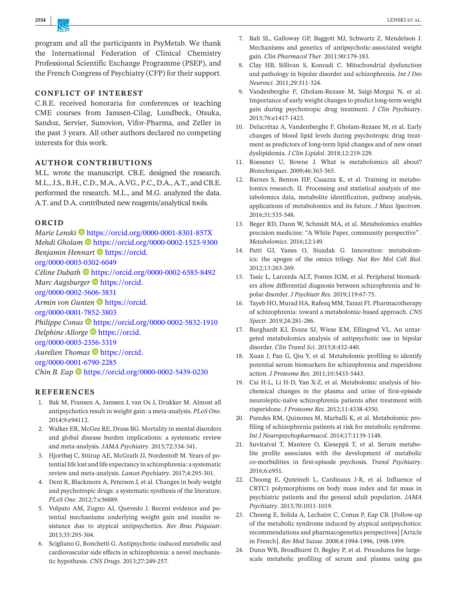program and all the participants in PsyMetab. We thank the International Federation of Clinical Chemistry Professional Scientific Exchange Programme (PSEP), and the French Congress of Psychiatry (CFP) for their support.

## **CONFLICT OF INTEREST**

C.B.E. received honoraria for conferences or teaching CME courses from Janssen-Cilag, Lundbeck, Otsuka, Sandoz, Servier, Sunovion, Vifor-Pharma, and Zeller in the past 3 years. All other authors declared no competing interests for this work.

### **AUTHOR CONTRIBUTIONS**

M.L. wrote the manuscript. CB.E. designed the research. M.L., J.S., B.H., C.D., M.A., A.VG., P.C., D.A., A.T., and CB.E. performed the research. M.L., and M.G. analyzed the data. A.T. and D.A. contributed new reagents/analytical tools.

#### **ORCID**

*Marie Lenski* • <https://orcid.org/0000-0001-8301-857X> *Mehdi Gholam* • <https://orcid.org/0000-0002-1523-9300> *Benjamin Hennart* **I** [https://orcid.](https://orcid.org/0000-0003-0302-6049) [org/0000-0003-0302-6049](https://orcid.org/0000-0003-0302-6049) *Céline Dubath* <https://orcid.org/0000-0002-6585-8492> *Marc Augsburger* **•** [https://orcid.](https://orcid.org/0000-0002-5606-3831) [org/0000-0002-5606-3831](https://orcid.org/0000-0002-5606-3831) *Armin von Gunten* **D** [https://orcid.](https://orcid.org/0000-0001-7852-3803) [org/0000-0001-7852-3803](https://orcid.org/0000-0001-7852-3803) Philippe Conus <sup>D</sup> <https://orcid.org/0000-0002-5832-1910> *Delphine Allorge* [https://orcid.](https://orcid.org/0000-0003-2356-3319) [org/0000-0003-2356-3319](https://orcid.org/0000-0003-2356-3319) Aurelien Thomas <sup>th</sup> [https://orcid.](https://orcid.org/0000-0001-6790-2285) [org/0000-0001-6790-2285](https://orcid.org/0000-0001-6790-2285) *Chin B. Eap*  $\bullet$  <https://orcid.org/0000-0002-5439-0230>

### **REFERENCES**

- 1. Bak M, Fransen A, Janssen J, van Os J, Drukker M. Almost all antipsychotics result in weight gain: a meta-analysis. *PLoS One*. 2014;9:e94112.
- 2. Walker ER, McGee RE, Druss BG. Mortality in mental disorders and global disease burden implications: a systematic review and meta-analysis. *JAMA Psychiatry*. 2015;72:334-341.
- 3. Hjorthøj C, Stürup AE, McGrath JJ, Nordentoft M. Years of potential life lost and life expectancy inschizophrenia: a systematic review and meta-analysis. *Lancet Psychiatry*. 2017;4:295-301.
- 4. Dent R, Blackmore A, Peterson J, et al. Changes in body weight and psychotropic drugs: a systematic synthesis of the literature. *PLoS One*. 2012;7:e36889.
- 5. Volpato AM, Zugno AI, Quevedo J. Recent evidence and potential mechanisms underlying weight gain and insulin resistance due to atypical antipsychotics. *Rev Bras Psiquiatr*. 2013;35:295-304.
- 6. Scigliano G, Ronchetti G. Antipsychotic-induced metabolic and cardiovascular side effects in schizophrenia: a novel mechanistic hypothesis. *CNS Drugs*. 2013;27:249-257.
- 7. Balt SL, Galloway GP, Baggott MJ, Schwartz Z, Mendelson J. Mechanisms and genetics of antipsychotic-associated weight gain. *Clin Pharmacol Ther*. 2011;90:179-183.
- 8. Clay HB, Sillivan S, Konradi C. Mitochondrial dysfunction and pathology in bipolar disorder and schizophrenia. *Int J Dev Neurosci*. 2011;29:311-324.
- 9. Vandenberghe F, Gholam-Rezaee M, Saigí-Morgui N, et al. Importance of early weight changesto predict long-term weight gain during psychotropic drug treatment. *J Clin Psychiatry*. 2015;76:e1417-1423.
- 10. Delacrétaz A, Vandenberghe F, Gholam-Rezaee M, et al. Early changes of blood lipid levels during psychotropic drug treatment as predictors of long-term lipid changes and of new onset dyslipidemia. *J Clin Lipidol*. 2018;12:219-229.
- 11. Roessner U, Bowne J. What is metabolomics all about? *Biotechniques*. 2009;46:363-365.
- 12. Barnes S, Benton HP, Casazza K, et al. Training in metabolomics research. II. Processing and statistical analysis of metabolomics data, metabolite identification, pathway analysis, applications of metabolomics and its future. *J Mass Spectrom*. 2016;51:535-548.
- 13. Beger RD, Dunn W, Schmidt MA, et al. Metabolomics enables precision medicine: "A White Paper, community perspective" *. Metabolomics*. 2016;12:149.
- 14. Patti GJ, Yanes O, Siuzdak G. Innovation: metabolomics: the apogee of the omics trilogy. *Nat Rev Mol Cell Biol*. 2012;13:263-269.
- 15. Tasic L, Larcerda ALT, Pontes JGM, et al. Peripheral biomarkers allow differential diagnosis between schizophrenia and bipolar disorder. *J Psychiatr Res*. 2019;119:67-75.
- 16. Tayeb HO, Murad HA, Rafeeq MM, Tarazi FI. Pharmacotherapy of schizophrenia: toward a metabolomic-based approach. *CNS Spectr*. 2019;24:281-286.
- 17. Burghardt KJ, Evans SJ, Wiese KM, Ellingrod VL. An untargeted metabolomics analysis of antipsychotic use in bipolar disorder. *Clin Transl Sci*. 2015;8:432-440.
- 18. Xuan J, Pan G, Qiu Y, et al. Metabolomic profiling to identify potential serum biomarkers for schizophrenia and risperidone action. *J Proteome Res*. 2011;10:5433-5443.
- 19. Cai H-L, Li H-D, Yan X-Z, et al. Metabolomic analysis of biochemical changes in the plasma and urine of first-episode neuroleptic-naïve schizophrenia patients after treatment with risperidone. *J Proteome Res*. 2012;11:4338-4350.
- 20. Paredes RM, Quinones M, Marballi K, et al. Metabolomic profiling of schizophrenia patients at risk for metabolic syndrome. *Int J Neuropsychopharmacol*. 2014;17:1139-1148.
- 21. Suvitaival T, Mantere O, Kieseppä T, et al. Serum metabolite profile associates with the development of metabolic co-morbidities in first-episode psychosis. *Transl Psychiatry*. 2016;6:e951.
- 22. Choong E, Quteineh L, Cardinaux J-R, et al. Influence of CRTC1 polymorphisms on body mass index and fat mass in psychiatric patients and the general adult population. *JAMA Psychiatry*. 2013;70:1011-1019.
- 23. Choong E, Solida A, Lechaire C, Conus P, Eap CB. [Follow-up of the metabolic syndrome induced by atypical antipsychotics: recommendations and pharmacogenetics perspectives] [Article in French]. *Rev Med Suisse*. 2008;4:1994-1996, 1998-1999.
- 24. Dunn WB, Broadhurst D, Begley P, et al. Procedures for largescale metabolic profiling of serum and plasma using gas